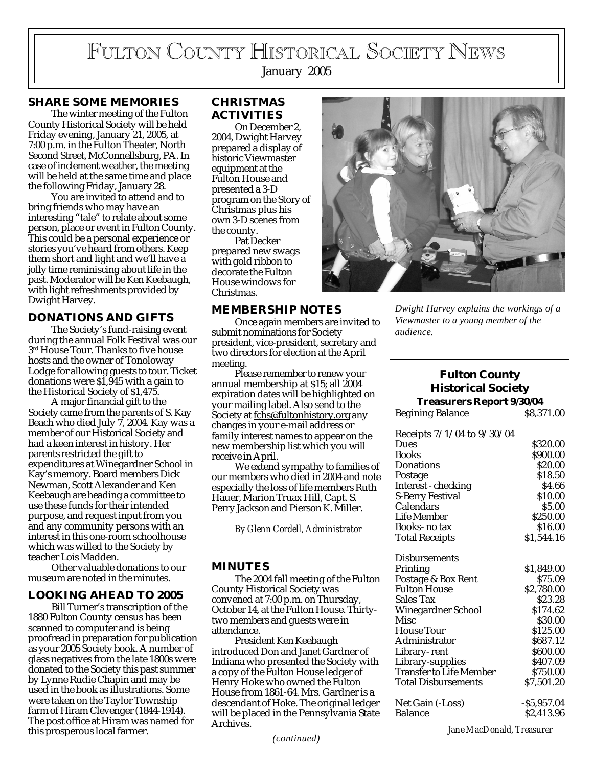# FULTON COUNTY HISTORICAL SOCIETY NEWS

January 2005

## **SHARE SOME MEMORIES**

The winter meeting of the Fulton County Historical Society will be held Friday evening, January 21, 2005, at 7:00 p.m. in the Fulton Theater, North Second Street, McConnellsburg, PA. In case of inclement weather, the meeting will be held at the same time and place the following Friday, January 28.

You are invited to attend and to bring friends who may have an interesting "tale" to relate about some person, place or event in Fulton County. This could be a personal experience or stories you've heard from others. Keep them short and light and we'll have a jolly time reminiscing about life in the past. Moderator will be Ken Keebaugh, with light refreshments provided by Dwight Harvey.

## **DONATIONS AND GIFTS**

The Society's fund-raising event during the annual Folk Festival was our  $3<sup>rd</sup>$  House Tour. Thanks to five house hosts and the owner of Tonoloway Lodge for allowing guests to tour. Ticket donations were \$1,945 with a gain to the Historical Society of \$1,475.

A major financial gift to the Society came from the parents of S. Kay Beach who died July 7, 2004. Kay was a member of our Historical Society and had a keen interest in history. Her parents restricted the gift to expenditures at Winegardner School in Kay's memory. Board members Dick Newman, Scott Alexander and Ken Keebaugh are heading a committee to use these funds for their intended purpose, and request input from you and any community persons with an interest in this one-room schoolhouse which was willed to the Society by teacher Lois Madden.

Other valuable donations to our museum are noted in the minutes.

## **LOOKING AHEAD TO 2005**

Bill Turner's transcription of the 1880 Fulton County census has been scanned to computer and is being proofread in preparation for publication as your 2005 Society book. A number of glass negatives from the late 1800s were donated to the Society this past summer by Lynne Rudie Chapin and may be used in the book as illustrations. Some were taken on the Taylor Township farm of Hiram Clevenger (1844-1914). The post office at Hiram was named for this prosperous local farmer.

# **CHRISTMAS ACTIVITIES**

On December 2, 2004, Dwight Harvey prepared a display of historic Viewmaster equipment at the Fulton House and presented a 3-D program on the Story of Christmas plus his own 3-D scenes from the county.

Pat Decker prepared new swags with gold ribbon to decorate the Fulton House windows for Christmas.

#### **MEMBERSHIP NOTES**

Once again members are invited to submit nominations for Society president, vice-president, secretary and two directors for election at the April meeting.

Please remember to renew your annual membership at \$15; all 2004 expiration dates will be highlighted on your mailing label. Also send to the Society at fchs@fultonhistory.org any changes in your e-mail address or family interest names to appear on the new membership list which you will receive in April.

We extend sympathy to families of our members who died in 2004 and note especially the loss of life members Ruth Hauer, Marion Truax Hill, Capt. S. Perry Jackson and Pierson K. Miller.

*By Glenn Cordell, Administrator*

## **MINUTES**

The 2004 fall meeting of the Fulton County Historical Society was convened at 7:00 p.m. on Thursday, October 14, at the Fulton House. Thirtytwo members and guests were in attendance.

President Ken Keebaugh introduced Don and Janet Gardner of Indiana who presented the Society with a copy of the Fulton House ledger of Henry Hoke who owned the Fulton House from 1861-64. Mrs. Gardner is a descendant of Hoke. The original ledger will be placed in the Pennsylvania State Archives.



*Dwight Harvey explains the workings of a Viewmaster to a young member of the audience.*

# **Fulton County Historical Society**

#### **Treasurers Report 9/30/04** Begining Balance \$8,371.00

| Receipts $7/1/04$ to $9/30/04$ |                |
|--------------------------------|----------------|
| Dues                           | \$320.00       |
| <b>Books</b>                   | \$900.00       |
| Donations                      | \$20.00        |
| Postage                        | \$18.50        |
| Interest - checking            | \$4.66         |
| <b>S-Berry Festival</b>        | \$10.00        |
| Calendars                      | \$5.00         |
| Life Member                    | \$250.00       |
| Books-no tax                   | \$16.00        |
| <b>Total Receipts</b>          | \$1,544.16     |
|                                |                |
| <b>Disbursements</b>           |                |
| Printing                       | \$1,849.00     |
| Postage & Box Rent             | \$75.09        |
| <b>Fulton House</b>            | \$2,780.00     |
| Sales Tax                      | \$23.28        |
| Winegardner School             | \$174.62       |
| <b>Misc</b>                    | \$30.00        |
| <b>House Tour</b>              | \$125.00       |
| Administrator                  | \$687.12       |
| Library-rent                   | \$600.00       |
| Library-supplies               | \$407.09       |
| <b>Transfer to Life Member</b> | \$750.00       |
| <b>Total Disbursements</b>     | \$7,501.20     |
| Net Gain (-Loss)               | $-$ \$5,957.04 |
| <b>Balance</b>                 | \$2,413.96     |
|                                |                |
| Jane MacDonald, Treasurer      |                |